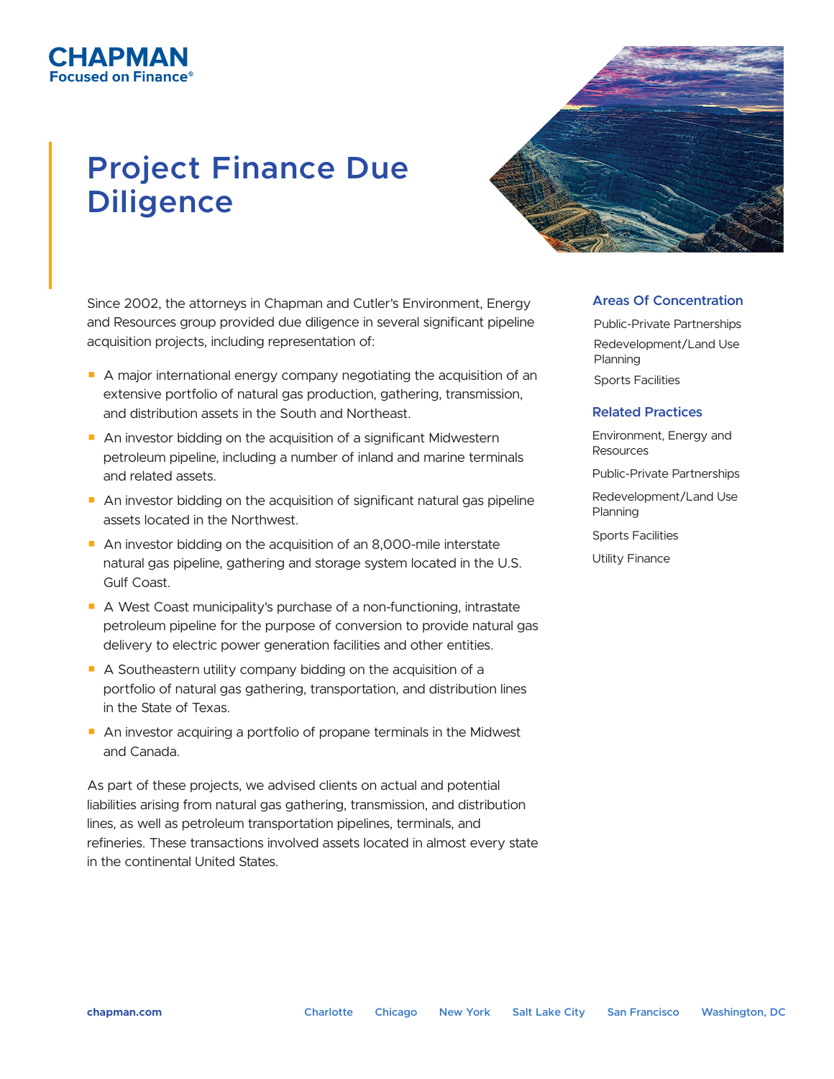# **Project Finance Due Diligence**

СНАРМАН

ed on Finance)

Since 2002, the attorneys in Chapman and Cutler's Environment, Energy and Resources group provided due diligence in several significant pipeline acquisition projects, including representation of:

- A major international energy company negotiating the acquisition of an extensive portfolio of natural gas production, gathering, transmission, and distribution assets in the South and Northeast.
- An investor bidding on the acquisition of a significant Midwestern petroleum pipeline, including a number of inland and marine terminals and related assets.
- An investor bidding on the acquisition of significant natural gas pipeline assets located in the Northwest.
- An investor bidding on the acquisition of an 8,000-mile interstate natural gas pipeline, gathering and storage system located in the U.S. Gulf Coast.
- A West Coast municipality's purchase of a non-functioning, intrastate petroleum pipeline for the purpose of conversion to provide natural gas delivery to electric power generation facilities and other entities.
- A Southeastern utility company bidding on the acquisition of a portfolio of natural gas gathering, transportation, and distribution lines in the State of Texas.
- An investor acquiring a portfolio of propane terminals in the Midwest and Canada.

As part of these projects, we advised clients on actual and potential liabilities arising from natural gas gathering, transmission, and distribution lines, as well as petroleum transportation pipelines, terminals, and refineries. These transactions involved assets located in almost every state in the continental United States.

#### **Areas Of Concentration**

Public-Private Partnerships Redevelopment/Land Use Planning Sports Facilities

#### **Related Practices**

Environment, Energy and Resources

Public-Private Partnerships

Redevelopment/Land Use Planning

Sports Facilities

Utility Finance

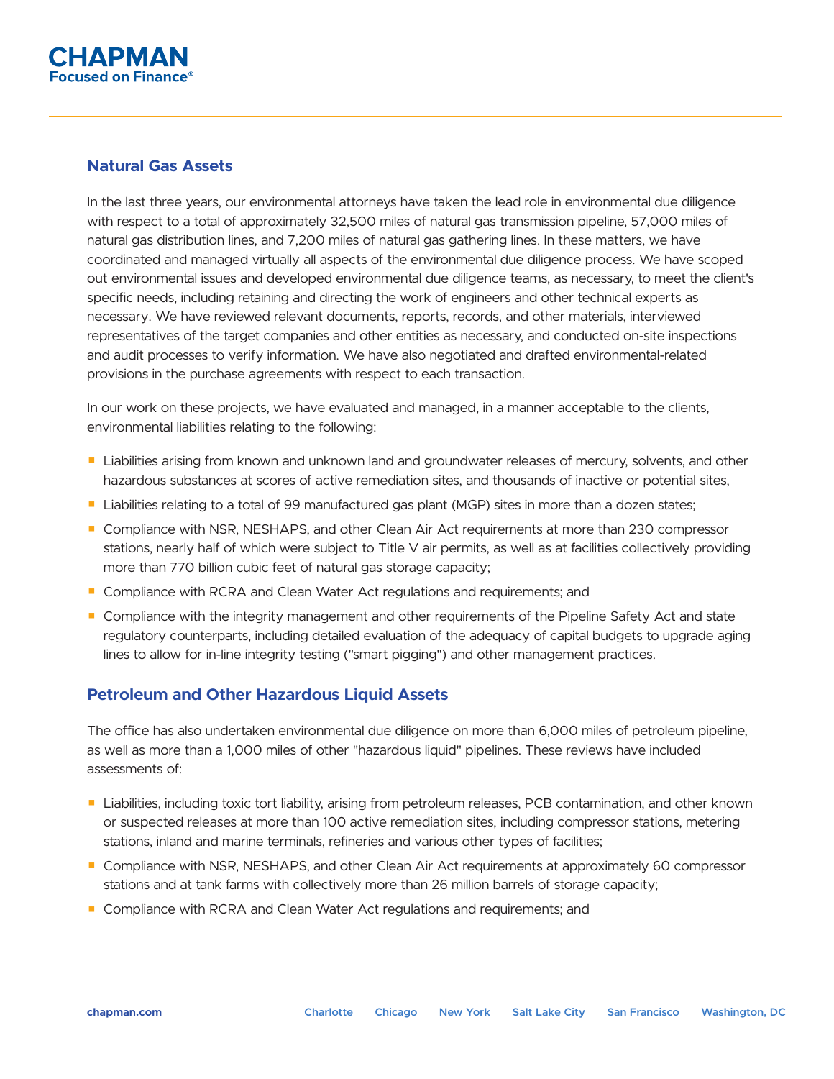## **Natural Gas Assets**

In the last three years, our environmental attorneys have taken the lead role in environmental due diligence with respect to a total of approximately 32,500 miles of natural gas transmission pipeline, 57,000 miles of natural gas distribution lines, and 7,200 miles of natural gas gathering lines. In these matters, we have coordinated and managed virtually all aspects of the environmental due diligence process. We have scoped out environmental issues and developed environmental due diligence teams, as necessary, to meet the client's specific needs, including retaining and directing the work of engineers and other technical experts as necessary. We have reviewed relevant documents, reports, records, and other materials, interviewed representatives of the target companies and other entities as necessary, and conducted on-site inspections and audit processes to verify information. We have also negotiated and drafted environmental-related provisions in the purchase agreements with respect to each transaction.

In our work on these projects, we have evaluated and managed, in a manner acceptable to the clients, environmental liabilities relating to the following:

- Liabilities arising from known and unknown land and groundwater releases of mercury, solvents, and other hazardous substances at scores of active remediation sites, and thousands of inactive or potential sites,
- Liabilities relating to a total of 99 manufactured gas plant (MGP) sites in more than a dozen states;
- Compliance with NSR, NESHAPS, and other Clean Air Act requirements at more than 230 compressor stations, nearly half of which were subject to Title V air permits, as well as at facilities collectively providing more than 770 billion cubic feet of natural gas storage capacity;
- Compliance with RCRA and Clean Water Act regulations and requirements; and
- Compliance with the integrity management and other requirements of the Pipeline Safety Act and state regulatory counterparts, including detailed evaluation of the adequacy of capital budgets to upgrade aging lines to allow for in-line integrity testing ("smart pigging") and other management practices.

## **Petroleum and Other Hazardous Liquid Assets**

The office has also undertaken environmental due diligence on more than 6,000 miles of petroleum pipeline, as well as more than a 1,000 miles of other "hazardous liquid" pipelines. These reviews have included assessments of:

- Liabilities, including toxic tort liability, arising from petroleum releases, PCB contamination, and other known or suspected releases at more than 100 active remediation sites, including compressor stations, metering stations, inland and marine terminals, refineries and various other types of facilities;
- Compliance with NSR, NESHAPS, and other Clean Air Act requirements at approximately 60 compressor stations and at tank farms with collectively more than 26 million barrels of storage capacity;
- Compliance with RCRA and Clean Water Act regulations and requirements; and